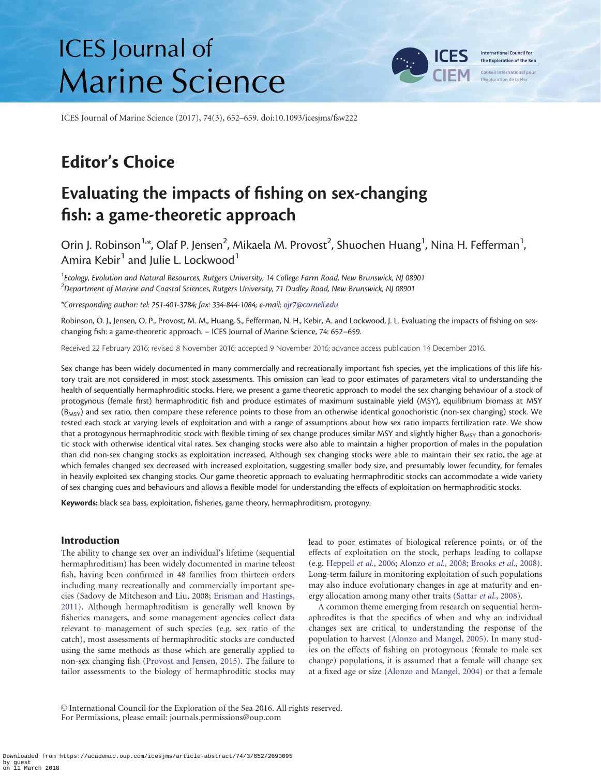# **ICES** Journal of **Marine Science**



ICES Journal of Marine Science (2017), 74(3), 652–659. doi:10.1093/icesjms/fsw222

## Editor's Choice

## Evaluating the impacts of fishing on sex-changing fish: a game-theoretic approach

Orin J. Robinson<sup>1,</sup>\*, Olaf P. Jensen<sup>2</sup>, Mikaela M. Provost<sup>2</sup>, Shuochen Huang<sup>1</sup>, Nina H. Fefferman<sup>1</sup> , Amira Kebir $<sup>1</sup>$  and Julie L. Lockwood $<sup>1</sup>$ </sup></sup>

<sup>1</sup> Ecology, Evolution and Natural Resources, Rutgers University, 14 College Farm Road, New Brunswick, NJ 08901  $^2$ Department of Marine and Coastal Sciences, Rutgers University, 71 Dudley Road, New Brunswick, NJ 08901

\*Corresponding author: tel: 251-401-3784; fax: 334-844-1084; e-mail: [ojr7@cornell.edu](mailto:ojr7@cornell.edu)

Robinson, O. J., Jensen, O. P., Provost, M. M., Huang, S., Fefferman, N. H., Kebir, A. and Lockwood, J. L. Evaluating the impacts of fishing on sexchanging fish: a game-theoretic approach. – ICES Journal of Marine Science, 74: 652–659.

Received 22 February 2016; revised 8 November 2016; accepted 9 November 2016; advance access publication 14 December 2016.

Sex change has been widely documented in many commercially and recreationally important fish species, yet the implications of this life history trait are not considered in most stock assessments. This omission can lead to poor estimates of parameters vital to understanding the health of sequentially hermaphroditic stocks. Here, we present a game theoretic approach to model the sex changing behaviour of a stock of protogynous (female first) hermaphroditic fish and produce estimates of maximum sustainable yield (MSY), equilibrium biomass at MSY  $(B<sub>MSY</sub>)$  and sex ratio, then compare these reference points to those from an otherwise identical gonochoristic (non-sex changing) stock. We tested each stock at varying levels of exploitation and with a range of assumptions about how sex ratio impacts fertilization rate. We show that a protogynous hermaphroditic stock with flexible timing of sex change produces similar MSY and slightly higher  $B_{MSY}$  than a gonochoristic stock with otherwise identical vital rates. Sex changing stocks were also able to maintain a higher proportion of males in the population than did non-sex changing stocks as exploitation increased. Although sex changing stocks were able to maintain their sex ratio, the age at which females changed sex decreased with increased exploitation, suggesting smaller body size, and presumably lower fecundity, for females in heavily exploited sex changing stocks. Our game theoretic approach to evaluating hermaphroditic stocks can accommodate a wide variety of sex changing cues and behaviours and allows a flexible model for understanding the effects of exploitation on hermaphroditic stocks.

Keywords: black sea bass, exploitation, fisheries, game theory, hermaphroditism, protogyny.

#### Introduction

The ability to change sex over an individual's lifetime (sequential hermaphroditism) has been widely documented in marine teleost fish, having been confirmed in 48 families from thirteen orders including many recreationally and commercially important species (Sadovy de Mitcheson and Liu, 2008; [Erisman and Hastings,](#page-7-0) [2011\)](#page-7-0). Although hermaphroditism is generally well known by fisheries managers, and some management agencies collect data relevant to management of such species (e.g. sex ratio of the catch), most assessments of hermaphroditic stocks are conducted using the same methods as those which are generally applied to non-sex changing fish ([Provost and Jensen, 2015\)](#page-7-0). The failure to tailor assessments to the biology of hermaphroditic stocks may lead to poor estimates of biological reference points, or of the effects of exploitation on the stock, perhaps leading to collapse (e.g. [Heppell](#page-7-0) et al., 2006; [Alonzo](#page-6-0) et al., 2008; [Brooks](#page-7-0) et al., 2008). Long-term failure in monitoring exploitation of such populations may also induce evolutionary changes in age at maturity and energy allocation among many other traits (Sattar et al.[, 2008](#page-7-0)).

A common theme emerging from research on sequential hermaphrodites is that the specifics of when and why an individual changes sex are critical to understanding the response of the population to harvest [\(Alonzo and Mangel, 2005\)](#page-6-0). In many studies on the effects of fishing on protogynous (female to male sex change) populations, it is assumed that a female will change sex at a fixed age or size [\(Alonzo and Mangel, 2004\)](#page-6-0) or that a female

V<sup>C</sup> International Council for the Exploration of the Sea 2016. All rights reserved. For Permissions, please email: journals.permissions@oup.com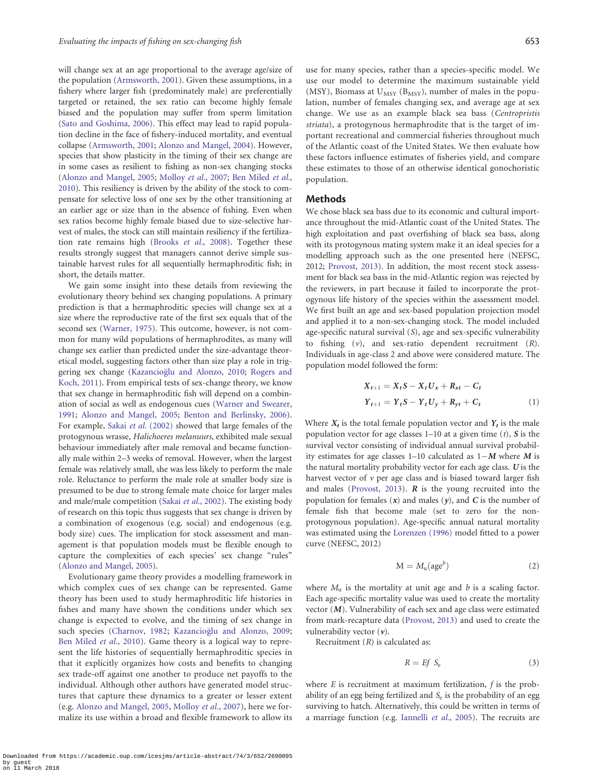will change sex at an age proportional to the average age/size of the population ([Armsworth, 2001](#page-6-0)). Given these assumptions, in a fishery where larger fish (predominately male) are preferentially targeted or retained, the sex ratio can become highly female biased and the population may suffer from sperm limitation ([Sato and Goshima, 2006\)](#page-7-0). This effect may lead to rapid population decline in the face of fishery-induced mortality, and eventual collapse ([Armsworth, 2001](#page-6-0); [Alonzo and Mangel, 2004](#page-6-0)). However, species that show plasticity in the timing of their sex change are in some cases as resilient to fishing as non-sex changing stocks ([Alonzo and Mangel, 2005;](#page-6-0) [Molloy](#page-7-0) et al., 2007; [Ben Miled](#page-7-0) et al., [2010\)](#page-7-0). This resiliency is driven by the ability of the stock to compensate for selective loss of one sex by the other transitioning at an earlier age or size than in the absence of fishing. Even when sex ratios become highly female biased due to size-selective harvest of males, the stock can still maintain resiliency if the fertilization rate remains high [\(Brooks](#page-7-0) et al., 2008). Together these results strongly suggest that managers cannot derive simple sustainable harvest rules for all sequentially hermaphroditic fish; in short, the details matter.

We gain some insight into these details from reviewing the evolutionary theory behind sex changing populations. A primary prediction is that a hermaphroditic species will change sex at a size where the reproductive rate of the first sex equals that of the second sex ([Warner, 1975\)](#page-7-0). This outcome, however, is not common for many wild populations of hermaphrodites, as many will change sex earlier than predicted under the size-advantage theoretical model, suggesting factors other than size play a role in trig-gering sex change ([Kazancio](#page-7-0)ğlu and Alonzo, 2010; [Rogers and](#page-7-0) [Koch, 2011](#page-7-0)). From empirical tests of sex-change theory, we know that sex change in hermaphroditic fish will depend on a combination of social as well as endogenous cues [\(Warner and Swearer,](#page-7-0) [1991;](#page-7-0) [Alonzo and Mangel, 2005](#page-6-0); [Benton and Berlinsky, 2006](#page-7-0)). For example, Sakai et al. [\(2002\)](#page-7-0) showed that large females of the protogynous wrasse, Halichoeres melanuurs, exhibited male sexual behaviour immediately after male removal and became functionally male within 2–3 weeks of removal. However, when the largest female was relatively small, she was less likely to perform the male role. Reluctance to perform the male role at smaller body size is presumed to be due to strong female mate choice for larger males and male/male competition (Sakai et al.[, 2002](#page-7-0)). The existing body of research on this topic thus suggests that sex change is driven by a combination of exogenous (e.g. social) and endogenous (e.g. body size) cues. The implication for stock assessment and management is that population models must be flexible enough to capture the complexities of each species' sex change "rules" ([Alonzo and Mangel, 2005\)](#page-6-0).

Evolutionary game theory provides a modelling framework in which complex cues of sex change can be represented. Game theory has been used to study hermaphroditic life histories in fishes and many have shown the conditions under which sex change is expected to evolve, and the timing of sex change in such species ([Charnov, 1982](#page-7-0); [Kazancio](#page-7-0)ğlu and Alonzo, 2009; [Ben Miled](#page-7-0) et al., 2010). Game theory is a logical way to represent the life histories of sequentially hermaphroditic species in that it explicitly organizes how costs and benefits to changing sex trade-off against one another to produce net payoffs to the individual. Although other authors have generated model structures that capture these dynamics to a greater or lesser extent (e.g. [Alonzo and Mangel, 2005](#page-6-0), [Molloy](#page-7-0) et al., 2007), here we formalize its use within a broad and flexible framework to allow its

use for many species, rather than a species-specific model. We use our model to determine the maximum sustainable yield (MSY), Biomass at  $U_{MSY}$  ( $B_{MSY}$ ), number of males in the population, number of females changing sex, and average age at sex change. We use as an example black sea bass (Centropristis striata), a protogynous hermaphrodite that is the target of important recreational and commercial fisheries throughout much of the Atlantic coast of the United States. We then evaluate how these factors influence estimates of fisheries yield, and compare these estimates to those of an otherwise identical gonochoristic population.

#### Methods

We chose black sea bass due to its economic and cultural importance throughout the mid-Atlantic coast of the United States. The high exploitation and past overfishing of black sea bass, along with its protogynous mating system make it an ideal species for a modelling approach such as the one presented here (NEFSC, 2012; [Provost, 2013](#page-7-0)). In addition, the most recent stock assessment for black sea bass in the mid-Atlantic region was rejected by the reviewers, in part because it failed to incorporate the protogynous life history of the species within the assessment model. We first built an age and sex-based population projection model and applied it to a non-sex-changing stock. The model included age-specific natural survival (S), age and sex-specific vulnerability to fishing  $(v)$ , and sex-ratio dependent recruitment  $(R)$ . Individuals in age-class 2 and above were considered mature. The population model followed the form:

$$
X_{t+1} = X_t S - X_t U_x + R_{xt} - C_t
$$
  
\n
$$
Y_{t+1} = Y_t S - Y_t U_y + R_{yt} + C_t
$$
 (1)

Where  $X_t$  is the total female population vector and  $Y_t$  is the male population vector for age classes  $1-10$  at a given time  $(t)$ , S is the survival vector consisting of individual annual survival probability estimates for age classes  $1-10$  calculated as  $1-M$  where M is the natural mortality probability vector for each age class. U is the harvest vector of  $\nu$  per age class and is biased toward larger fish and males [\(Provost, 2013\)](#page-7-0).  $\boldsymbol{R}$  is the young recruited into the population for females  $(x)$  and males  $(y)$ , and C is the number of female fish that become male (set to zero for the nonprotogynous population). Age-specific annual natural mortality was estimated using the [Lorenzen \(1996\)](#page-7-0) model fitted to a power curve (NEFSC, 2012)

$$
M = M_u(\text{age}^b)
$$
 (2)

where  $M_u$  is the mortality at unit age and b is a scaling factor. Each age-specific mortality value was used to create the mortality vector (M). Vulnerability of each sex and age class were estimated from mark-recapture data [\(Provost, 2013\)](#page-7-0) and used to create the vulnerability vector  $(v)$ .

Recruitment  $(R)$  is calculated as:

$$
R = Ef S_e \tag{3}
$$

where  $E$  is recruitment at maximum fertilization,  $f$  is the probability of an egg being fertilized and  $S<sub>e</sub>$  is the probability of an egg surviving to hatch. Alternatively, this could be written in terms of a marriage function (e.g. [Iannelli](#page-7-0) et al., 2005). The recruits are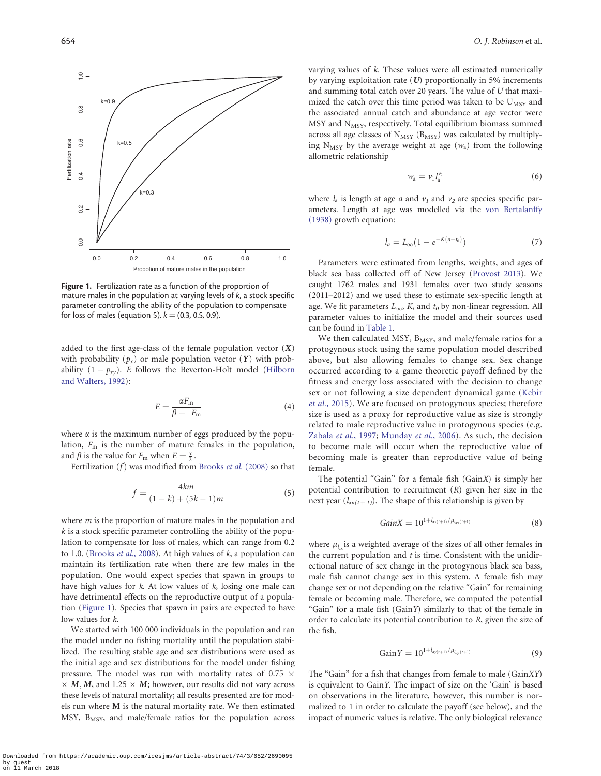

Figure 1. Fertilization rate as a function of the proportion of mature males in the population at varying levels of k, a stock specific parameter controlling the ability of the population to compensate for loss of males (equation 5).  $k = (0.3, 0.5, 0.9)$ .

added to the first age-class of the female population vector  $(X)$ with probability  $(p_x)$  or male population vector  $(Y)$  with probability  $(1 - p_{xy})$ . *E* follows the Beverton-Holt model ([Hilborn](#page-7-0) [and Walters, 1992\)](#page-7-0):

$$
E = \frac{\alpha F_{\rm m}}{\beta + F_{\rm m}}\tag{4}
$$

where  $\alpha$  is the maximum number of eggs produced by the population,  $F_m$  is the number of mature females in the population, and  $\beta$  is the value for  $F_m$  when  $E = \frac{\alpha}{2}$ .

Fertilization  $(f)$  was modified from [Brooks](#page-7-0) et al. (2008) so that

$$
f = \frac{4km}{(1-k) + (5k-1)m}
$$
 (5)

where  $m$  is the proportion of mature males in the population and  $k$  is a stock specific parameter controlling the ability of the population to compensate for loss of males, which can range from 0.2 to 1.0. [\(Brooks](#page-7-0) *et al.*, 2008). At high values of  $k$ , a population can maintain its fertilization rate when there are few males in the population. One would expect species that spawn in groups to have high values for k. At low values of k, losing one male can have detrimental effects on the reproductive output of a population (Figure 1). Species that spawn in pairs are expected to have low values for k.

We started with 100 000 individuals in the population and ran the model under no fishing mortality until the population stabilized. The resulting stable age and sex distributions were used as the initial age and sex distributions for the model under fishing pressure. The model was run with mortality rates of 0.75  $\times$  $\times$  *M*, *M*, and 1.25  $\times$  *M*; however, our results did not vary across these levels of natural mortality; all results presented are for models run where M is the natural mortality rate. We then estimated MSY,  $B_{MSY}$ , and male/female ratios for the population across varying values of k. These values were all estimated numerically by varying exploitation rate  $(U)$  proportionally in 5% increments and summing total catch over 20 years. The value of U that maximized the catch over this time period was taken to be  $U_{MSY}$  and the associated annual catch and abundance at age vector were  $MSY$  and  $N<sub>MSY</sub>$ , respectively. Total equilibrium biomass summed across all age classes of  $N_{MSY}$  ( $B_{MSY}$ ) was calculated by multiplying N<sub>MSY</sub> by the average weight at age  $(w_a)$  from the following allometric relationship

$$
w_a = v_1 l_a^{\nu_2} \tag{6}
$$

where  $l_a$  is length at age a and  $v_1$  and  $v_2$  are species specific parameters. Length at age was modelled via the [von Bertalanffy](#page-7-0) [\(1938\)](#page-7-0) growth equation:

$$
l_a = L_{\infty} (1 - e^{-K(a - t_0)}) \tag{7}
$$

Parameters were estimated from lengths, weights, and ages of black sea bass collected off of New Jersey ([Provost 2013\)](#page-7-0). We caught 1762 males and 1931 females over two study seasons (2011–2012) and we used these to estimate sex-specific length at age. We fit parameters  $L_{\infty}$ , K, and  $t_0$  by non-linear regression. All parameter values to initialize the model and their sources used can be found in [Table 1](#page-3-0).

We then calculated MSY,  $B_{MSY}$ , and male/female ratios for a protogynous stock using the same population model described above, but also allowing females to change sex. Sex change occurred according to a game theoretic payoff defined by the fitness and energy loss associated with the decision to change sex or not following a size dependent dynamical game ([Kebir](#page-7-0) et al.[, 2015\)](#page-7-0). We are focused on protogynous species; therefore size is used as a proxy for reproductive value as size is strongly related to male reproductive value in protogynous species (e.g. [Zabala](#page-7-0) et al., 1997; [Munday](#page-7-0) et al., 2006). As such, the decision to become male will occur when the reproductive value of becoming male is greater than reproductive value of being female.

The potential "Gain" for a female fish (GainX) is simply her potential contribution to recruitment  $(R)$  given her size in the next year  $(l_{ax(t+1)})$ . The shape of this relationship is given by

$$
GainX = 10^{1 + l_{\text{ax}(t+1)}/\mu_{l_{\text{ax}(t+1)}}}
$$
(8)

where  $\mu_{\rm L}$  is a weighted average of the sizes of all other females in the current population and  $t$  is time. Consistent with the unidirectional nature of sex change in the protogynous black sea bass, male fish cannot change sex in this system. A female fish may change sex or not depending on the relative "Gain" for remaining female or becoming male. Therefore, we computed the potential "Gain" for a male fish (GainY) similarly to that of the female in order to calculate its potential contribution to R, given the size of the fish.

$$
GainY = 10^{1 + l_{\text{av}(t+1)}/\mu_{l_{\text{av}(t+1)}}}
$$
\n(9)

The "Gain" for a fish that changes from female to male (GainXY) is equivalent to GainY. The impact of size on the 'Gain' is based on observations in the literature, however, this number is normalized to 1 in order to calculate the payoff (see below), and the impact of numeric values is relative. The only biological relevance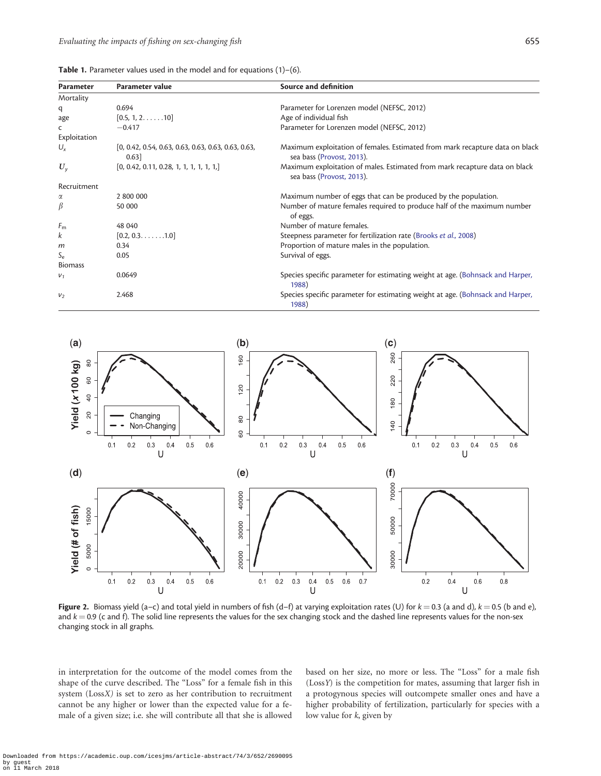<span id="page-3-0"></span>

|  | Table 1. Parameter values used in the model and for equations (1)-(6). |  |  |  |  |  |  |  |
|--|------------------------------------------------------------------------|--|--|--|--|--|--|--|
|--|------------------------------------------------------------------------|--|--|--|--|--|--|--|

| Parameter      | Parameter value                                                   | Source and definition                                                                                     |  |
|----------------|-------------------------------------------------------------------|-----------------------------------------------------------------------------------------------------------|--|
| Mortality      |                                                                   |                                                                                                           |  |
| q              | 0.694                                                             | Parameter for Lorenzen model (NEFSC, 2012)                                                                |  |
| age            | $[0.5, 1, 2, \ldots, 10]$                                         | Age of individual fish                                                                                    |  |
| C              | $-0.417$                                                          | Parameter for Lorenzen model (NEFSC, 2012)                                                                |  |
| Exploitation   |                                                                   |                                                                                                           |  |
| $U_{x}$        | $[0, 0.42, 0.54, 0.63, 0.63, 0.63, 0.63, 0.63, 0.63,$<br>$0.63$ ] | Maximum exploitation of females. Estimated from mark recapture data on black<br>sea bass (Provost, 2013). |  |
| $U_{\nu}$      | $[0, 0.42, 0.11, 0.28, 1, 1, 1, 1, 1, 1, ]$                       | Maximum exploitation of males. Estimated from mark recapture data on black<br>sea bass (Provost, 2013).   |  |
| Recruitment    |                                                                   |                                                                                                           |  |
| α              | 2 800 000                                                         | Maximum number of eggs that can be produced by the population.                                            |  |
| $\beta$        | 50 000                                                            | Number of mature females required to produce half of the maximum number<br>of eggs.                       |  |
| $F_{\rm m}$    | 48 040                                                            | Number of mature females.                                                                                 |  |
| k              | $[0.2, 0.3 \ldots \ldots \ldots 1.0]$                             | Steepness parameter for fertilization rate (Brooks et al., 2008)                                          |  |
| m              | 0.34                                                              | Proportion of mature males in the population.                                                             |  |
| $S_e$          | 0.05                                                              | Survival of eggs.                                                                                         |  |
| <b>Biomass</b> |                                                                   |                                                                                                           |  |
| $V_1$          | 0.0649                                                            | Species specific parameter for estimating weight at age. (Bohnsack and Harper,<br>1988)                   |  |
| $V_2$          | 2.468                                                             | Species specific parameter for estimating weight at age. (Bohnsack and Harper,<br>1988)                   |  |



Figure 2. Biomass yield (a–c) and total yield in numbers of fish (d–f) at varying exploitation rates (U) for  $k = 0.3$  (a and d),  $k = 0.5$  (b and e), and  $k = 0.9$  (c and f). The solid line represents the values for the sex changing stock and the dashed line represents values for the non-sex changing stock in all graphs.

in interpretation for the outcome of the model comes from the shape of the curve described. The "Loss" for a female fish in this system (LossX) is set to zero as her contribution to recruitment cannot be any higher or lower than the expected value for a female of a given size; i.e. she will contribute all that she is allowed based on her size, no more or less. The "Loss" for a male fish (LossY) is the competition for mates, assuming that larger fish in a protogynous species will outcompete smaller ones and have a higher probability of fertilization, particularly for species with a low value for  $k$ , given by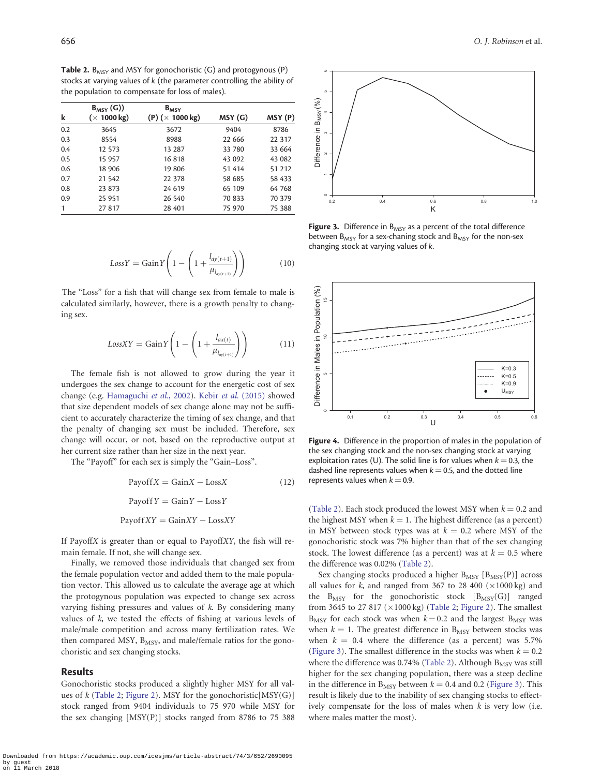**Table 2.**  $B_{MSY}$  and MSY for gonochoristic (G) and protogynous (P) stocks at varying values of k (the parameter controlling the ability of the population to compensate for loss of males).

|     | $B_{MSY}(G)$               | $B_{MSY}$                      |         |          |
|-----|----------------------------|--------------------------------|---------|----------|
| k   | $(\times 1000 \text{ kg})$ | (P) $(\times 1000 \text{ kg})$ | MSY (G) | MSY (P)  |
| 0.2 | 3645                       | 3672                           | 9404    | 8786     |
| 0.3 | 8554                       | 8988                           | 22 666  | 22 3 1 7 |
| 0.4 | 12 573                     | 13 287                         | 33 780  | 33 664   |
| 0.5 | 15 957                     | 16818                          | 43 092  | 43 082   |
| 0.6 | 18 906                     | 19 806                         | 51 414  | 51 2 12  |
| 0.7 | 21 5 42                    | 22 378                         | 58 685  | 58 433   |
| 0.8 | 23 873                     | 24 6 19                        | 65 109  | 64 768   |
| 0.9 | 25 951                     | 26 540                         | 70833   | 70 379   |
|     | 27817                      | 28 401                         | 75 970  | 75 388   |

$$
LossY = GainY\left(1 - \left(1 + \frac{l_{ay(t+1)}}{\mu_{l_{ay(t+1)}}}\right)\right) \tag{10}
$$

The "Loss" for a fish that will change sex from female to male is calculated similarly, however, there is a growth penalty to changing sex.

$$
LossXY = GainY\left(1 - \left(1 + \frac{l_{ax(t)}}{\mu_{l_{ay(t+1)}}}\right)\right) \tag{11}
$$

The female fish is not allowed to grow during the year it undergoes the sex change to account for the energetic cost of sex change (e.g. [Hamaguchi](#page-7-0) et al., 2002). Kebir et al. [\(2015\)](#page-7-0) showed that size dependent models of sex change alone may not be sufficient to accurately characterize the timing of sex change, and that the penalty of changing sex must be included. Therefore, sex change will occur, or not, based on the reproductive output at her current size rather than her size in the next year.

The "Payoff" for each sex is simply the "Gain–Loss".

$$
PayoffX = GainX - LossX
$$
\n
$$
PayoffY = GainY - LossY
$$
\n
$$
PayoffXY = GainXY - LossXY
$$

If PayoffX is greater than or equal to PayoffXY, the fish will remain female. If not, she will change sex.

Finally, we removed those individuals that changed sex from the female population vector and added them to the male population vector. This allowed us to calculate the average age at which the protogynous population was expected to change sex across varying fishing pressures and values of k. By considering many values of k, we tested the effects of fishing at various levels of male/male competition and across many fertilization rates. We then compared MSY,  $B_{MSY}$ , and male/female ratios for the gonochoristic and sex changing stocks.

#### Results

Gonochoristic stocks produced a slightly higher MSY for all values of k (Table 2; [Figure 2](#page-3-0)). MSY for the gonochoristic[MSY(G)] stock ranged from 9404 individuals to 75 970 while MSY for the sex changing [MSY(P)] stocks ranged from 8786 to 75 388

<span id="page-4-0"></span>

**Figure 3.** Difference in  $B_{MSY}$  as a percent of the total difference between  $B_{MSY}$  for a sex-chaning stock and  $B_{MSY}$  for the non-sex changing stock at varying values of k.



Figure 4. Difference in the proportion of males in the population of the sex changing stock and the non-sex changing stock at varying exploitation rates (U). The solid line is for values when  $k = 0.3$ , the dashed line represents values when  $k = 0.5$ , and the dotted line represents values when  $k = 0.9$ .

(Table 2). Each stock produced the lowest MSY when  $k = 0.2$  and the highest MSY when  $k = 1$ . The highest difference (as a percent) in MSY between stock types was at  $k = 0.2$  where MSY of the gonochoristic stock was 7% higher than that of the sex changing stock. The lowest difference (as a percent) was at  $k = 0.5$  where the difference was 0.02% (Table 2).

Sex changing stocks produced a higher  $B_{MSY}$  [ $B_{MSY}(P)$ ] across all values for  $k$ , and ranged from 367 to 28 400 ( $\times$ 1000 kg) and the  $B_{MSY}$  for the gonochoristic stock  $[B_{MSY}(G)]$  ranged from 3645 to 27 817 ( $\times$ 1000 kg) (Table 2; [Figure 2\)](#page-3-0). The smallest  $B_{MSY}$  for each stock was when  $k = 0.2$  and the largest  $B_{MSY}$  was when  $k = 1$ . The greatest difference in  $B_{MSY}$  between stocks was when  $k = 0.4$  where the difference (as a percent) was 5.7% (Figure 3). The smallest difference in the stocks was when  $k = 0.2$ where the difference was 0.74% (Table 2). Although  $B_{MSY}$  was still higher for the sex changing population, there was a steep decline in the difference in  $B_{MSY}$  between  $k = 0.4$  and 0.2 (Figure 3). This result is likely due to the inability of sex changing stocks to effectively compensate for the loss of males when  $k$  is very low (i.e. where males matter the most).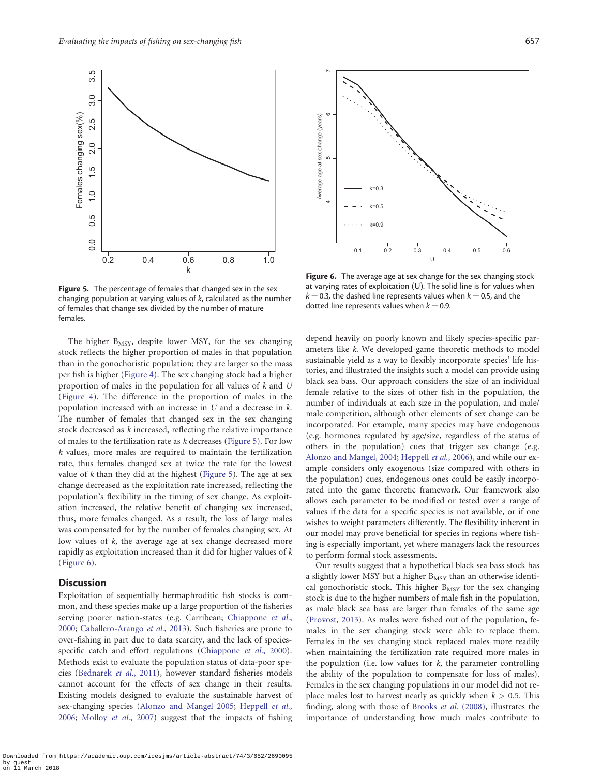

Figure 5. The percentage of females that changed sex in the sex changing population at varying values of k, calculated as the number of females that change sex divided by the number of mature females.

The higher B<sub>MSY</sub>, despite lower MSY, for the sex changing stock reflects the higher proportion of males in that population than in the gonochoristic population; they are larger so the mass per fish is higher ([Figure 4\)](#page-4-0). The sex changing stock had a higher proportion of males in the population for all values of  $k$  and  $U$ ([Figure 4](#page-4-0)). The difference in the proportion of males in the population increased with an increase in  $U$  and a decrease in  $k$ . The number of females that changed sex in the sex changing stock decreased as k increased, reflecting the relative importance of males to the fertilization rate as  $k$  decreases (Figure 5). For low k values, more males are required to maintain the fertilization rate, thus females changed sex at twice the rate for the lowest value of  $k$  than they did at the highest (Figure 5). The age at sex change decreased as the exploitation rate increased, reflecting the population's flexibility in the timing of sex change. As exploitation increased, the relative benefit of changing sex increased, thus, more females changed. As a result, the loss of large males was compensated for by the number of females changing sex. At low values of  $k$ , the average age at sex change decreased more rapidly as exploitation increased than it did for higher values of  $k$ (Figure 6).

### **Discussion**

Exploitation of sequentially hermaphroditic fish stocks is common, and these species make up a large proportion of the fisheries serving poorer nation-states (e.g. Carribean; [Chiappone](#page-7-0) et al., [2000;](#page-7-0) [Caballero-Arango](#page-7-0) et al., 2013). Such fisheries are prone to over-fishing in part due to data scarcity, and the lack of species-specific catch and effort regulations ([Chiappone](#page-7-0) et al., 2000). Methods exist to evaluate the population status of data-poor species ([Bednarek](#page-7-0) et al., 2011), however standard fisheries models cannot account for the effects of sex change in their results. Existing models designed to evaluate the sustainable harvest of sex-changing species ([Alonzo and Mangel 2005](#page-6-0); [Heppell](#page-7-0) et al., [2006;](#page-7-0) [Molloy](#page-7-0) et al., 2007) suggest that the impacts of fishing



Figure 6. The average age at sex change for the sex changing stock at varying rates of exploitation (U). The solid line is for values when  $k = 0.3$ , the dashed line represents values when  $k = 0.5$ , and the dotted line represents values when  $k = 0.9$ .

depend heavily on poorly known and likely species-specific parameters like k. We developed game theoretic methods to model sustainable yield as a way to flexibly incorporate species' life histories, and illustrated the insights such a model can provide using black sea bass. Our approach considers the size of an individual female relative to the sizes of other fish in the population, the number of individuals at each size in the population, and male/ male competition, although other elements of sex change can be incorporated. For example, many species may have endogenous (e.g. hormones regulated by age/size, regardless of the status of others in the population) cues that trigger sex change (e.g. [Alonzo and Mangel, 2004](#page-6-0); [Heppell](#page-7-0) et al., 2006), and while our example considers only exogenous (size compared with others in the population) cues, endogenous ones could be easily incorporated into the game theoretic framework. Our framework also allows each parameter to be modified or tested over a range of values if the data for a specific species is not available, or if one wishes to weight parameters differently. The flexibility inherent in our model may prove beneficial for species in regions where fishing is especially important, yet where managers lack the resources to perform formal stock assessments.

Our results suggest that a hypothetical black sea bass stock has a slightly lower MSY but a higher BMSY than an otherwise identical gonochoristic stock. This higher  $B_{MSY}$  for the sex changing stock is due to the higher numbers of male fish in the population, as male black sea bass are larger than females of the same age [\(Provost, 2013](#page-7-0)). As males were fished out of the population, females in the sex changing stock were able to replace them. Females in the sex changing stock replaced males more readily when maintaining the fertilization rate required more males in the population (i.e. low values for  $k$ , the parameter controlling the ability of the population to compensate for loss of males). Females in the sex changing populations in our model did not replace males lost to harvest nearly as quickly when  $k > 0.5$ . This finding, along with those of [Brooks](#page-7-0) et al. (2008), illustrates the importance of understanding how much males contribute to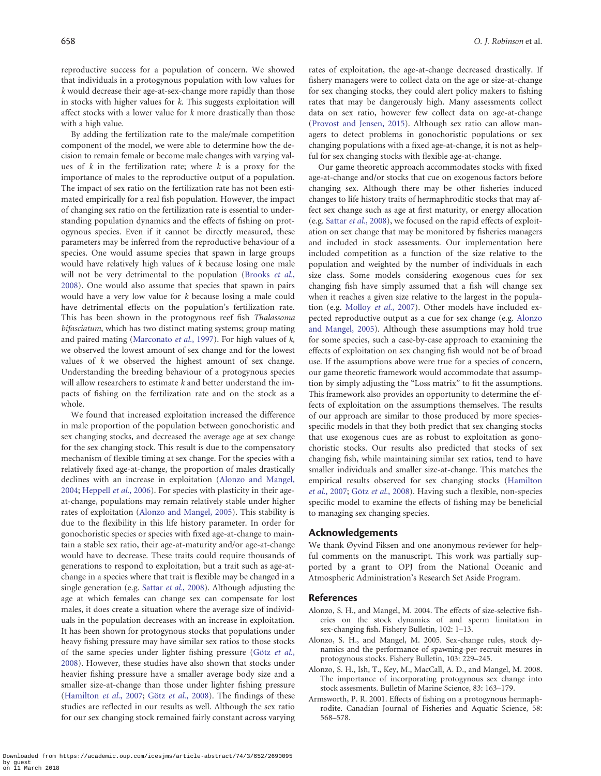<span id="page-6-0"></span>reproductive success for a population of concern. We showed that individuals in a protogynous population with low values for k would decrease their age-at-sex-change more rapidly than those in stocks with higher values for  $k$ . This suggests exploitation will affect stocks with a lower value for  $k$  more drastically than those with a high value.

By adding the fertilization rate to the male/male competition component of the model, we were able to determine how the decision to remain female or become male changes with varying values of  $k$  in the fertilization rate; where  $k$  is a proxy for the importance of males to the reproductive output of a population. The impact of sex ratio on the fertilization rate has not been estimated empirically for a real fish population. However, the impact of changing sex ratio on the fertilization rate is essential to understanding population dynamics and the effects of fishing on protogynous species. Even if it cannot be directly measured, these parameters may be inferred from the reproductive behaviour of a species. One would assume species that spawn in large groups would have relatively high values of k because losing one male will not be very detrimental to the population ([Brooks](#page-7-0) et al., [2008\)](#page-7-0). One would also assume that species that spawn in pairs would have a very low value for k because losing a male could have detrimental effects on the population's fertilization rate. This has been shown in the protogynous reef fish Thalassoma bifasciatum, which has two distinct mating systems; group mating and paired mating ([Marconato](#page-7-0) et al., 1997). For high values of k, we observed the lowest amount of sex change and for the lowest values of  $k$  we observed the highest amount of sex change. Understanding the breeding behaviour of a protogynous species will allow researchers to estimate k and better understand the impacts of fishing on the fertilization rate and on the stock as a whole.

We found that increased exploitation increased the difference in male proportion of the population between gonochoristic and sex changing stocks, and decreased the average age at sex change for the sex changing stock. This result is due to the compensatory mechanism of flexible timing at sex change. For the species with a relatively fixed age-at-change, the proportion of males drastically declines with an increase in exploitation (Alonzo and Mangel, 2004; [Heppell](#page-7-0) et al., 2006). For species with plasticity in their ageat-change, populations may remain relatively stable under higher rates of exploitation (Alonzo and Mangel, 2005). This stability is due to the flexibility in this life history parameter. In order for gonochoristic species or species with fixed age-at-change to maintain a stable sex ratio, their age-at-maturity and/or age-at-change would have to decrease. These traits could require thousands of generations to respond to exploitation, but a trait such as age-atchange in a species where that trait is flexible may be changed in a single generation (e.g. Sattar et al.[, 2008](#page-7-0)). Although adjusting the age at which females can change sex can compensate for lost males, it does create a situation where the average size of individuals in the population decreases with an increase in exploitation. It has been shown for protogynous stocks that populations under heavy fishing pressure may have similar sex ratios to those stocks of the same species under lighter fishing pressure (Götz [et al.](#page-7-0), [2008\)](#page-7-0). However, these studies have also shown that stocks under heavier fishing pressure have a smaller average body size and a smaller size-at-change than those under lighter fishing pressure ([Hamilton](#page-7-0) et al., 2007; Götz et al.[, 2008\)](#page-7-0). The findings of these studies are reflected in our results as well. Although the sex ratio for our sex changing stock remained fairly constant across varying rates of exploitation, the age-at-change decreased drastically. If fishery managers were to collect data on the age or size-at-change for sex changing stocks, they could alert policy makers to fishing rates that may be dangerously high. Many assessments collect data on sex ratio, however few collect data on age-at-change ([Provost and Jensen, 2015\)](#page-7-0). Although sex ratio can allow managers to detect problems in gonochoristic populations or sex changing populations with a fixed age-at-change, it is not as helpful for sex changing stocks with flexible age-at-change.

Our game theoretic approach accommodates stocks with fixed age-at-change and/or stocks that cue on exogenous factors before changing sex. Although there may be other fisheries induced changes to life history traits of hermaphroditic stocks that may affect sex change such as age at first maturity, or energy allocation (e.g. Sattar et al.[, 2008](#page-7-0)), we focused on the rapid effects of exploitation on sex change that may be monitored by fisheries managers and included in stock assessments. Our implementation here included competition as a function of the size relative to the population and weighted by the number of individuals in each size class. Some models considering exogenous cues for sex changing fish have simply assumed that a fish will change sex when it reaches a given size relative to the largest in the population (e.g. [Molloy](#page-7-0) et al., 2007). Other models have included expected reproductive output as a cue for sex change (e.g. Alonzo and Mangel, 2005). Although these assumptions may hold true for some species, such a case-by-case approach to examining the effects of exploitation on sex changing fish would not be of broad use. If the assumptions above were true for a species of concern, our game theoretic framework would accommodate that assumption by simply adjusting the "Loss matrix" to fit the assumptions. This framework also provides an opportunity to determine the effects of exploitation on the assumptions themselves. The results of our approach are similar to those produced by more speciesspecific models in that they both predict that sex changing stocks that use exogenous cues are as robust to exploitation as gonochoristic stocks. Our results also predicted that stocks of sex changing fish, while maintaining similar sex ratios, tend to have smaller individuals and smaller size-at-change. This matches the empirical results observed for sex changing stocks [\(Hamilton](#page-7-0) et al.[, 2007;](#page-7-0) Götz et al.[, 2008](#page-7-0)). Having such a flexible, non-species specific model to examine the effects of fishing may be beneficial to managing sex changing species.

#### Acknowledgements

We thank Øyvind Fiksen and one anonymous reviewer for helpful comments on the manuscript. This work was partially supported by a grant to OPJ from the National Oceanic and Atmospheric Administration's Research Set Aside Program.

#### References

- Alonzo, S. H., and Mangel, M. 2004. The effects of size-selective fisheries on the stock dynamics of and sperm limitation in sex-changing fish. Fishery Bulletin, 102: 1–13.
- Alonzo, S. H., and Mangel, M. 2005. Sex-change rules, stock dynamics and the performance of spawning-per-recruit mesures in protogynous stocks. Fishery Bulletin, 103: 229–245.
- Alonzo, S. H., Ish, T., Key, M., MacCall, A. D., and Mangel, M. 2008. The importance of incorporating protogynous sex change into stock assesments. Bulletin of Marine Science, 83: 163–179.
- Armsworth, P. R. 2001. Effects of fishing on a protogynous hermaphrodite. Canadian Journal of Fisheries and Aquatic Science, 58: 568–578.